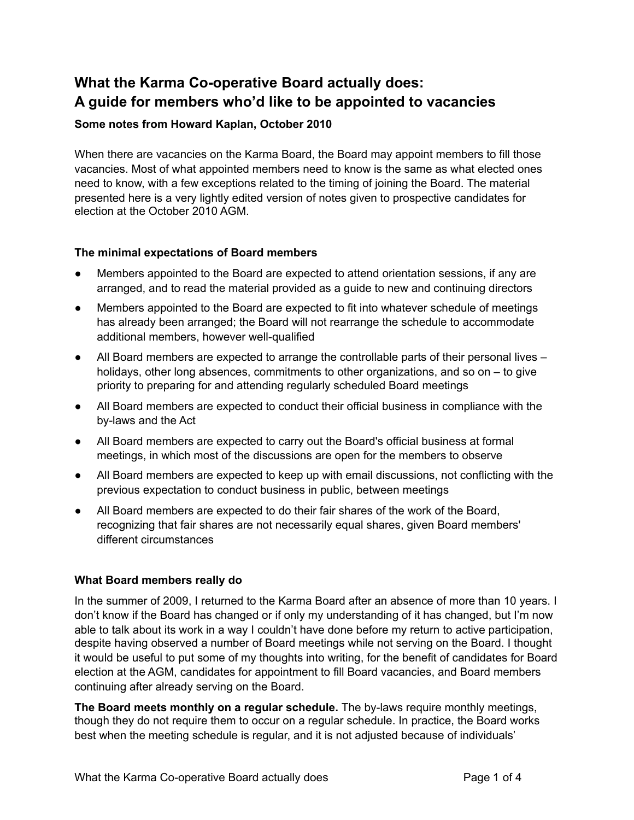## **What the Karma Co-operative Board actually does: A guide for members who'd like to be appointed to vacancies**

## **Some notes from Howard Kaplan, October 2010**

When there are vacancies on the Karma Board, the Board may appoint members to fill those vacancies. Most of what appointed members need to know is the same as what elected ones need to know, with a few exceptions related to the timing of joining the Board. The material presented here is a very lightly edited version of notes given to prospective candidates for election at the October 2010 AGM.

## **The minimal expectations of Board members**

- Members appointed to the Board are expected to attend orientation sessions, if any are arranged, and to read the material provided as a guide to new and continuing directors
- Members appointed to the Board are expected to fit into whatever schedule of meetings has already been arranged; the Board will not rearrange the schedule to accommodate additional members, however well-qualified
- All Board members are expected to arrange the controllable parts of their personal lives  $$ holidays, other long absences, commitments to other organizations, and so on – to give priority to preparing for and attending regularly scheduled Board meetings
- All Board members are expected to conduct their official business in compliance with the by-laws and the Act
- All Board members are expected to carry out the Board's official business at formal meetings, in which most of the discussions are open for the members to observe
- All Board members are expected to keep up with email discussions, not conflicting with the previous expectation to conduct business in public, between meetings
- All Board members are expected to do their fair shares of the work of the Board, recognizing that fair shares are not necessarily equal shares, given Board members' different circumstances

## **What Board members really do**

In the summer of 2009, I returned to the Karma Board after an absence of more than 10 years. I don't know if the Board has changed or if only my understanding of it has changed, but I'm now able to talk about its work in a way I couldn't have done before my return to active participation, despite having observed a number of Board meetings while not serving on the Board. I thought it would be useful to put some of my thoughts into writing, for the benefit of candidates for Board election at the AGM, candidates for appointment to fill Board vacancies, and Board members continuing after already serving on the Board.

**The Board meets monthly on a regular schedule.** The by-laws require monthly meetings, though they do not require them to occur on a regular schedule. In practice, the Board works best when the meeting schedule is regular, and it is not adjusted because of individuals'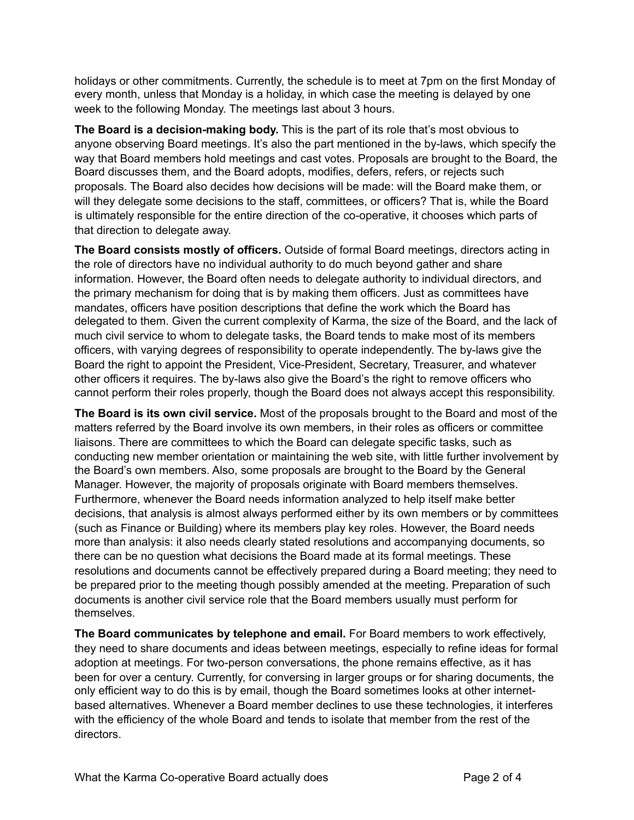holidays or other commitments. Currently, the schedule is to meet at 7pm on the first Monday of every month, unless that Monday is a holiday, in which case the meeting is delayed by one week to the following Monday. The meetings last about 3 hours.

**The Board is a decision-making body.** This is the part of its role that's most obvious to anyone observing Board meetings. It's also the part mentioned in the by-laws, which specify the way that Board members hold meetings and cast votes. Proposals are brought to the Board, the Board discusses them, and the Board adopts, modifies, defers, refers, or rejects such proposals. The Board also decides how decisions will be made: will the Board make them, or will they delegate some decisions to the staff, committees, or officers? That is, while the Board is ultimately responsible for the entire direction of the co-operative, it chooses which parts of that direction to delegate away.

**The Board consists mostly of officers.** Outside of formal Board meetings, directors acting in the role of directors have no individual authority to do much beyond gather and share information. However, the Board often needs to delegate authority to individual directors, and the primary mechanism for doing that is by making them officers. Just as committees have mandates, officers have position descriptions that define the work which the Board has delegated to them. Given the current complexity of Karma, the size of the Board, and the lack of much civil service to whom to delegate tasks, the Board tends to make most of its members officers, with varying degrees of responsibility to operate independently. The by-laws give the Board the right to appoint the President, Vice-President, Secretary, Treasurer, and whatever other officers it requires. The by-laws also give the Board's the right to remove officers who cannot perform their roles properly, though the Board does not always accept this responsibility.

**The Board is its own civil service.** Most of the proposals brought to the Board and most of the matters referred by the Board involve its own members, in their roles as officers or committee liaisons. There are committees to which the Board can delegate specific tasks, such as conducting new member orientation or maintaining the web site, with little further involvement by the Board's own members. Also, some proposals are brought to the Board by the General Manager. However, the majority of proposals originate with Board members themselves. Furthermore, whenever the Board needs information analyzed to help itself make better decisions, that analysis is almost always performed either by its own members or by committees (such as Finance or Building) where its members play key roles. However, the Board needs more than analysis: it also needs clearly stated resolutions and accompanying documents, so there can be no question what decisions the Board made at its formal meetings. These resolutions and documents cannot be effectively prepared during a Board meeting; they need to be prepared prior to the meeting though possibly amended at the meeting. Preparation of such documents is another civil service role that the Board members usually must perform for themselves.

**The Board communicates by telephone and email.** For Board members to work effectively, they need to share documents and ideas between meetings, especially to refine ideas for formal adoption at meetings. For two-person conversations, the phone remains effective, as it has been for over a century. Currently, for conversing in larger groups or for sharing documents, the only efficient way to do this is by email, though the Board sometimes looks at other internetbased alternatives. Whenever a Board member declines to use these technologies, it interferes with the efficiency of the whole Board and tends to isolate that member from the rest of the directors.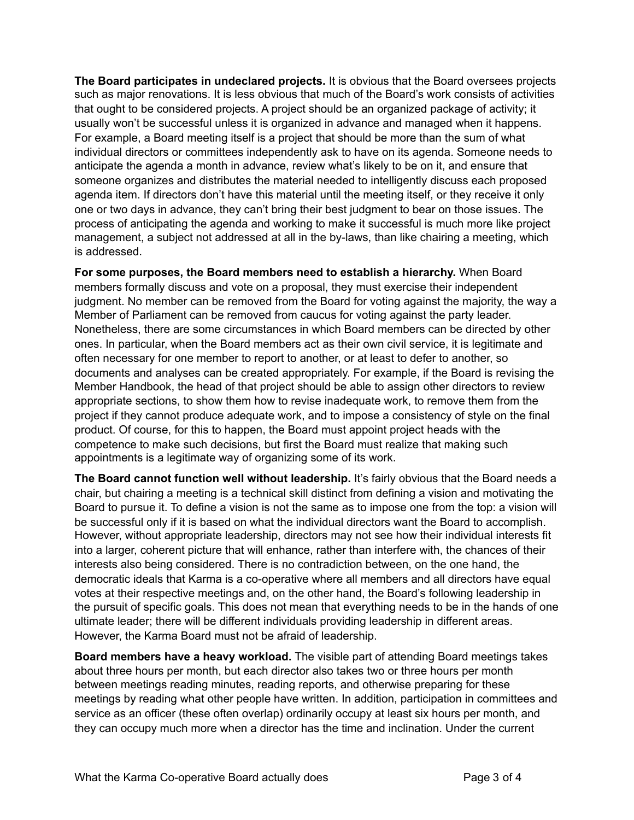**The Board participates in undeclared projects.** It is obvious that the Board oversees projects such as major renovations. It is less obvious that much of the Board's work consists of activities that ought to be considered projects. A project should be an organized package of activity; it usually won't be successful unless it is organized in advance and managed when it happens. For example, a Board meeting itself is a project that should be more than the sum of what individual directors or committees independently ask to have on its agenda. Someone needs to anticipate the agenda a month in advance, review what's likely to be on it, and ensure that someone organizes and distributes the material needed to intelligently discuss each proposed agenda item. If directors don't have this material until the meeting itself, or they receive it only one or two days in advance, they can't bring their best judgment to bear on those issues. The process of anticipating the agenda and working to make it successful is much more like project management, a subject not addressed at all in the by-laws, than like chairing a meeting, which is addressed.

**For some purposes, the Board members need to establish a hierarchy.** When Board members formally discuss and vote on a proposal, they must exercise their independent judgment. No member can be removed from the Board for voting against the majority, the way a Member of Parliament can be removed from caucus for voting against the party leader. Nonetheless, there are some circumstances in which Board members can be directed by other ones. In particular, when the Board members act as their own civil service, it is legitimate and often necessary for one member to report to another, or at least to defer to another, so documents and analyses can be created appropriately. For example, if the Board is revising the Member Handbook, the head of that project should be able to assign other directors to review appropriate sections, to show them how to revise inadequate work, to remove them from the project if they cannot produce adequate work, and to impose a consistency of style on the final product. Of course, for this to happen, the Board must appoint project heads with the competence to make such decisions, but first the Board must realize that making such appointments is a legitimate way of organizing some of its work.

The Board cannot function well without leadership. It's fairly obvious that the Board needs a chair, but chairing a meeting is a technical skill distinct from defining a vision and motivating the Board to pursue it. To define a vision is not the same as to impose one from the top: a vision will be successful only if it is based on what the individual directors want the Board to accomplish. However, without appropriate leadership, directors may not see how their individual interests fit into a larger, coherent picture that will enhance, rather than interfere with, the chances of their interests also being considered. There is no contradiction between, on the one hand, the democratic ideals that Karma is a co-operative where all members and all directors have equal votes at their respective meetings and, on the other hand, the Board's following leadership in the pursuit of specific goals. This does not mean that everything needs to be in the hands of one ultimate leader; there will be different individuals providing leadership in different areas. However, the Karma Board must not be afraid of leadership.

**Board members have a heavy workload.** The visible part of attending Board meetings takes about three hours per month, but each director also takes two or three hours per month between meetings reading minutes, reading reports, and otherwise preparing for these meetings by reading what other people have written. In addition, participation in committees and service as an officer (these often overlap) ordinarily occupy at least six hours per month, and they can occupy much more when a director has the time and inclination. Under the current